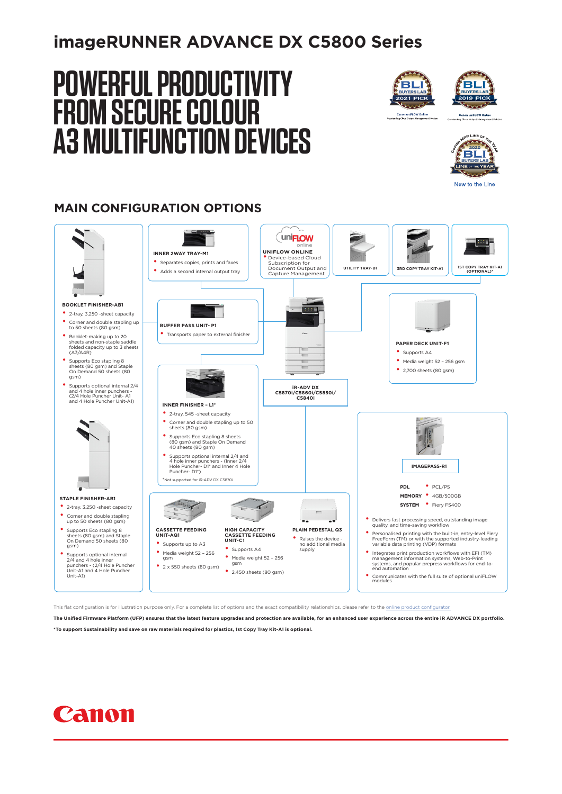### **imageRUNNER ADVANCE DX C5800 Series**

# **POWERFUL PRODUCTIVITY FROM SECURE COLOUR A3 MULTIFUNCTION DEVICES**







New to the Line

### **MAIN CONFIGURATION OPTIONS**



This flat configuration is for illustration purpose only. For a complete list of options and the exact compatibility relationships, please refer to the online

**The Unified Firmware Platform (UFP) ensures that the latest feature upgrades and protection are available, for an enhanced user experience across the entire iR ADVANCE DX portfolio.**

**\*To support Sustainability and save on raw materials required for plastics, 1st Copy Tray Kit-A1 is optional.**

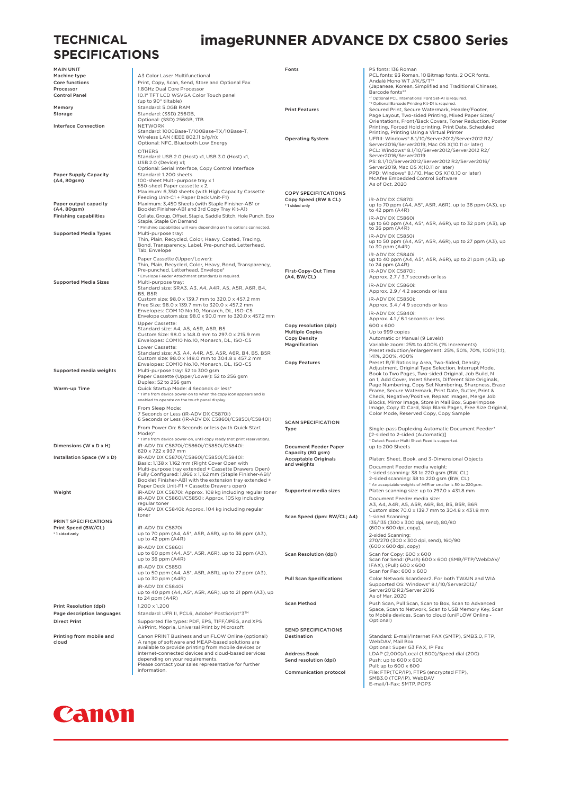### **TECHNICAL SPECIFICATIONS**

### **imageRUNNER ADVANCE DX C5800 Series**

| <b>MAIN UNIT</b>                  |                                                                                                                     | Fonts                           | PS fonts: 136 Roman                                                                                                    |
|-----------------------------------|---------------------------------------------------------------------------------------------------------------------|---------------------------------|------------------------------------------------------------------------------------------------------------------------|
| Machine type                      | A3 Color Laser Multifunctional                                                                                      |                                 | PCL fonts: 93 Roman, 10 Bitmap fonts, 2 OCR fonts,                                                                     |
| Core functions                    | Print, Copy, Scan, Send, Store and Optional Fax                                                                     |                                 | Andalé Mono WT J/K/S/T*1                                                                                               |
| Processor                         | 1.8GHz Dual Core Processor                                                                                          |                                 | (Japanese, Korean, Simplified and Traditional Chinese),                                                                |
| <b>Control Panel</b>              | 10.1" TFT LCD WSVGA Color Touch panel                                                                               |                                 | Barcode fonts*2                                                                                                        |
|                                   | (up to 90° tiltable)                                                                                                |                                 | *1 Optional PCL International Font Set-A1 is required.<br>* <sup>2</sup> Optional Barcode Printing Kit-D1 is required. |
| Memory                            | Standard: 5.0GB RAM                                                                                                 | <b>Print Features</b>           | Secured Print, Secure Watermark, Header/Footer,                                                                        |
| Storage                           | Standard: (SSD) 256GB,                                                                                              |                                 | Page Layout, Two-sided Printing, Mixed Paper Sizes/                                                                    |
|                                   | Optional: (SSD) 256GB, ITB                                                                                          |                                 | Orientations, Front/Back Covers, Toner Reduction, Poster                                                               |
| <b>Interface Connection</b>       | <b>NETWORK</b>                                                                                                      |                                 | Printing, Forced Hold printing, Print Date, Scheduled                                                                  |
|                                   | Standard: 1000Base-T/100Base-TX/10Base-T,                                                                           |                                 | Printing, Printing Using a Virtual Printer                                                                             |
|                                   | Wireless LAN (IEEE 802.11 b/g/n);                                                                                   | <b>Operating System</b>         | UFRII: Windows* 8.1/10/Server2012/Server2012 R2/                                                                       |
|                                   | Optional: NFC, Bluetooth Low Energy                                                                                 |                                 | Server2016/Server2019, Mac OS X(10.11 or later)                                                                        |
|                                   | <b>OTHERS</b>                                                                                                       |                                 | PCL: Windows* 8.1/10/Server2012/Server2012 R2/                                                                         |
|                                   | Standard: USB 2.0 (Host) x1, USB 3.0 (Host) x1,                                                                     |                                 | Server2016/Server2019<br>PS: 8.1/10/Server2012/Server2012 R2/Server2016/                                               |
|                                   | USB 2.0 (Device) x1;                                                                                                |                                 | Server2019, Mac OS X(10.11 or later)                                                                                   |
| <b>Paper Supply Capacity</b>      | Optional: Serial Interface, Copy Control Interface<br>Standard: 1.200 sheets                                        |                                 | PPD: Windows® 8.1/10, Mac OS X(10.10 or later)                                                                         |
| (A4, 80gsm)                       | 100-sheet Multi-purpose tray x 1                                                                                    |                                 | McAfee Embedded Control Software                                                                                       |
|                                   | 550-sheet Paper cassette x 2,                                                                                       |                                 | As of Oct. 2020                                                                                                        |
|                                   | Maximum: 6,350 sheets (with High Capacity Cassette                                                                  | <b>COPY SPECIFITCATIONS</b>     |                                                                                                                        |
|                                   | Feeding Unit-C1 + Paper Deck Unit-F1)                                                                               | Copy Speed (BW & CL)            | iR-ADV DX C5870i                                                                                                       |
| Paper output capacity             | Maximum: 3,450 Sheets (with Staple Finisher-AB1 or                                                                  | *1 sided only                   | up to 70 ppm (A4, A5*, A5R, A6R), up to 36 ppm (A3), up                                                                |
| (A4, 80gsm)                       | Booklet Finisher-AB1 and 3rd Copy Tray Kit-A1)                                                                      |                                 | to $42$ ppm $(A4R)$                                                                                                    |
| <b>Finishing capabilities</b>     | Collate, Group, Offset, Staple, Saddle Stitch, Hole Punch, Eco                                                      |                                 | iR-ADV DX C5860i                                                                                                       |
|                                   | Staple, Staple On Demand                                                                                            |                                 | up to 60 ppm (A4, A5*, A5R, A6R), up to 32 ppm (A3), up                                                                |
|                                   | * Finishing capabilities will vary depending on the options connected.                                              |                                 | to 36 ppm (A4R)                                                                                                        |
| <b>Supported Media Types</b>      | Multi-purpose tray:                                                                                                 |                                 | iR-ADV DX C5850i                                                                                                       |
|                                   | Thin, Plain, Recycled, Color, Heavy, Coated, Tracing,<br>Bond, Transparency, Label, Pre-punched, Letterhead,        |                                 | up to 50 ppm (A4, A5*, A5R, A6R), up to 27 ppm (A3), up                                                                |
|                                   | Tab, Envelope                                                                                                       |                                 | to 30 ppm (A4R)                                                                                                        |
|                                   |                                                                                                                     |                                 | iR-ADV DX C5840i                                                                                                       |
|                                   | Paper Cassette (Upper/Lower):                                                                                       |                                 | up to 40 ppm (A4, A5*, A5R, A6R), up to 21 ppm (A3), up                                                                |
|                                   | Thin, Plain, Recycled, Color, Heavy, Bond, Transparency,                                                            |                                 | to 24 ppm $(A4R)$                                                                                                      |
|                                   | Pre-punched, Letterhead, Envelope*<br>* Envelope Feeder Attachment (standard) is required.                          | First-Copy-Out Time             | iR-ADV DX C5870i:                                                                                                      |
| <b>Supported Media Sizes</b>      | Multi-purpose tray:                                                                                                 | (A4, BW/CL)                     | Approx. 2.7 / 3.7 seconds or less                                                                                      |
|                                   | Standard size: SRA3, A3, A4, A4R, A5, A5R, A6R, B4,                                                                 |                                 | iR-ADV DX C5860i:                                                                                                      |
|                                   | <b>B5, B5R</b>                                                                                                      |                                 | Approx. 2.9 / 4.2 seconds or less                                                                                      |
|                                   | Custom size: 98.0 x 139.7 mm to 320.0 x 457.2 mm                                                                    |                                 | iR-ADV DX C5850i:                                                                                                      |
|                                   | Free Size: 98.0 x 139.7 mm to 320.0 x 457.2 mm                                                                      |                                 | Approx. 3.4 / 4.9 seconds or less                                                                                      |
|                                   | Envelopes: COM 10 No.10, Monarch, DL, ISO-C5                                                                        |                                 | iR-ADV DX C5840i:                                                                                                      |
|                                   | Envelope custom size: 98.0 x 90.0 mm to 320.0 x 457.2 mm                                                            |                                 | Approx. 4.1 / 6.1 seconds or less                                                                                      |
|                                   | Upper Cassette:                                                                                                     | Copy resolution (dpi)           | 600 x 600                                                                                                              |
|                                   | Standard size: A4, A5, A5R, A6R, B5                                                                                 | <b>Multiple Copies</b>          | Up to 999 copies                                                                                                       |
|                                   | Custom Size: 98.0 x 148.0 mm to 297.0 x 215.9 mm                                                                    | <b>Copy Density</b>             | Automatic or Manual (9 Levels)                                                                                         |
|                                   | Envelopes: COM10 No.10, Monarch, DL, ISO-C5                                                                         | Magnification                   | Variable zoom: 25% to 400% (1% Increments)                                                                             |
|                                   | Lower Cassette:                                                                                                     |                                 | Preset reduction/enlargement: 25%, 50%, 70%, 100%(1:1),                                                                |
|                                   | Standard size: A3, A4, A4R, A5, A5R, A6R, B4, B5, B5R<br>Custom size: 98.0 x 148.0 mm to 304.8 x 457.2 mm           |                                 | 141%, 200%, 400%                                                                                                       |
|                                   | Envelopes: COM10 No.10, Monarch, DL, ISO-C5                                                                         | <b>Copy Features</b>            | Preset R/E Ratios by Area, Two-Sided, Density                                                                          |
| Supported media weights           | Multi-purpose tray: 52 to 300 gsm                                                                                   |                                 | Adjustment, Original Type Selection, Interrupt Mode,                                                                   |
|                                   | Paper Cassette (Upper/Lower): 52 to 256 gsm                                                                         |                                 | Book to Two Pages, Two-sided Original, Job Build, N                                                                    |
|                                   | Duplex: 52 to 256 gsm                                                                                               |                                 | on 1, Add Cover, Insert Sheets, Different Size Originals,                                                              |
| Warm-up Time                      | Quick Startup Mode: 4 Seconds or less*                                                                              |                                 | Page Numbering, Copy Set Numbering, Sharpness, Erase<br>Frame, Secure Watermark, Print Date, Gutter, Print &           |
|                                   | * Time from device power-on to when the copy icon appears and is                                                    |                                 | Check, Negative/Positive, Repeat Images, Merge Job                                                                     |
|                                   | enabled to operate on the touch panel display.                                                                      |                                 | Blocks, Mirror Image, Store in Mail Box, Superimpose                                                                   |
|                                   | From Sleep Mode:                                                                                                    |                                 | Image, Copy ID Card, Skip Blank Pages, Free Size Original,                                                             |
|                                   | 7 Seconds or Less (iR-ADV DX C5870i)                                                                                |                                 | Color Mode, Reserved Copy, Copy Sample                                                                                 |
|                                   | 6 Seconds or Less (iR-ADV DX C5860i/C5850i/C5840i)                                                                  | <b>SCAN SPECIFICATION</b>       |                                                                                                                        |
|                                   | From Power On: 6 Seconds or less (with Quick Start                                                                  | Type                            | Single-pass Duplexing Automatic Document Feeder*                                                                       |
|                                   | Mode)*                                                                                                              |                                 | [2-sided to 2-sided (Automatic)]                                                                                       |
|                                   | * Time from device power-on, until copy ready (not print reservation).                                              |                                 | * Detect Feeder Multi Sheet Feed is supported.                                                                         |
| Dimensions (W x D x H)            | iR-ADV DX C5870i/C5860i/C5850i/C5840i:                                                                              | <b>Document Feeder Paper</b>    | up to 200 Sheets                                                                                                       |
|                                   | 620 x 722 x 937 mm                                                                                                  | Capacity (80 gsm)               |                                                                                                                        |
| Installation Space (W x D)        | iR-ADV DX C5870i/C5860i/C5850i/C5840i:                                                                              | <b>Acceptable Originals</b>     | Platen: Sheet, Book, and 3-Dimensional Objects                                                                         |
|                                   | Basic: 1,138 x 1,162 mm (Right Cover Open with                                                                      | and weights                     | Document Feeder media weight:                                                                                          |
|                                   | Multi-purpose tray extended + Cassette Drawers Open)                                                                |                                 | 1-sided scanning: 38 to 220 gsm (BW, CL)                                                                               |
|                                   | Fully Configured: 1,866 x 1,162 mm (Staple Finisher-AB1/<br>Booklet Finisher-AB1 with the extension tray extended + |                                 | 2-sided scanning: 38 to 220 gsm (BW, CL)                                                                               |
|                                   | Paper Deck Unit-F1 + Cassette Drawers open)                                                                         |                                 | * An acceptable weights of A6R or smaller is 50 to 220gsm.                                                             |
| Weight                            | iR-ADV DX C5870i: Approx. 108 kg including regular toner                                                            | Supported media sizes           | Platen scanning size: up to 297.0 x 431.8 mm                                                                           |
|                                   | iR-ADV DX C5860i/C5850i: Approx. 105 kg including                                                                   |                                 | Document Feeder media size:                                                                                            |
|                                   | regular toner                                                                                                       |                                 | A3, A4, A4R, A5, A5R, A6R, B4, B5, B5R, B6R                                                                            |
|                                   | iR-ADV DX C5840i: Approx. 104 kg including regular                                                                  |                                 | Custom size: 70.0 x 139.7 mm to 304.8 x 431.8 mm                                                                       |
|                                   | toner                                                                                                               | Scan Speed (ipm: BW/CL; A4)     | 1-sided Scanning:                                                                                                      |
| PRINT SPECIFICATIONS              |                                                                                                                     |                                 | 135/135 (300 x 300 dpi, send), 80/80                                                                                   |
| Print Speed (BW/CL)               | iR-ADV DX C5870i                                                                                                    |                                 | (600 x 600 dpi, copy),                                                                                                 |
| *1 sided only                     | up to 70 ppm (A4, A5*, A5R, A6R), up to 36 ppm (A3),<br>up to 42 ppm (A4R)                                          |                                 | 2-sided Scanning:                                                                                                      |
|                                   |                                                                                                                     |                                 | 270/270 (300 x 300 dpi, send), 160/90                                                                                  |
|                                   | iR-ADV DX C5860i                                                                                                    |                                 | (600 x 600 dpi, copy)                                                                                                  |
|                                   | up to 60 ppm (A4, A5*, A5R, A6R), up to 32 ppm (A3),                                                                | <b>Scan Resolution (dpi)</b>    | Scan for Copy: 600 x 600                                                                                               |
|                                   | up to 36 ppm (A4R)                                                                                                  |                                 | Scan for Send: (Push) 600 x 600 (SMB/FTP/WebDAV/                                                                       |
|                                   | iR-ADV DX C5850i                                                                                                    |                                 | IFAX), (Pull) 600 x 600<br>Scan for Fax: 600 x 600                                                                     |
|                                   | up to 50 ppm (A4, A5*, A5R, A6R), up to 27 ppm (A3),<br>up to 30 ppm (A4R)                                          |                                 |                                                                                                                        |
|                                   |                                                                                                                     | <b>Pull Scan Specifications</b> | Color Network ScanGear2. For both TWAIN and WIA<br>Supported OS: Windows® 8.1/10/Server2012/                           |
|                                   | iR-ADV DX C5840i                                                                                                    |                                 | Server2012 R2/Server 2016                                                                                              |
|                                   | up to 40 ppm (A4, A5*, A5R, A6R), up to 21 ppm (A3), up                                                             |                                 | As of Mar. 2020                                                                                                        |
|                                   | to 24 ppm (A4R)                                                                                                     | <b>Scan Method</b>              |                                                                                                                        |
| Print Resolution (dpi)            | 1,200 x 1,200                                                                                                       |                                 | Push Scan, Pull Scan, Scan to Box, Scan to Advanced<br>Space, Scan to Network, Scan to USB Memory Key, Scan            |
| Page description languages        | Standard: UFR II, PCL6, Adobe® PostScript®3™                                                                        |                                 | to Mobile devices, Scan to cloud (uniFLOW Online -                                                                     |
| <b>Direct Print</b>               | Supported file types: PDF, EPS, TIFF/JPEG, and XPS                                                                  |                                 | Optional)                                                                                                              |
|                                   | AirPrint, Mopria, Universal Print by Microsoft                                                                      |                                 |                                                                                                                        |
|                                   |                                                                                                                     | <b>SEND SPECIFICATIONS</b>      |                                                                                                                        |
| Printing from mobile and<br>cloud | Canon PRINT Business and uniFLOW Online (optional)<br>A range of software and MEAP-based solutions are              | Destination                     | Standard: E-mail/Internet FAX (SMTP), SMB3.0, FTP,<br>WebDAV, Mail Box                                                 |
|                                   | available to provide printing from mobile devices or                                                                |                                 | Optional: Super G3 FAX, IP Fax                                                                                         |
|                                   | internet-connected devices and cloud-based services                                                                 | <b>Address Book</b>             | LDAP (2,000)/Local (1,600)/Speed dial (200)                                                                            |
|                                   | depending on your requirements.                                                                                     | Send resolution (dpi)           | Push: up to 600 x 600                                                                                                  |
|                                   | Please contact your sales representative for further                                                                |                                 | Pull: up to 600 x 600                                                                                                  |
|                                   | information.                                                                                                        | <b>Communication protocol</b>   | File: FTP(TCP/IP), FTPS (encrypted FTP),                                                                               |
|                                   |                                                                                                                     |                                 | SMB3.0 (TCP/IP), WebDAV                                                                                                |
|                                   |                                                                                                                     |                                 | E-mail/I-Fax: SMTP, POP3                                                                                               |

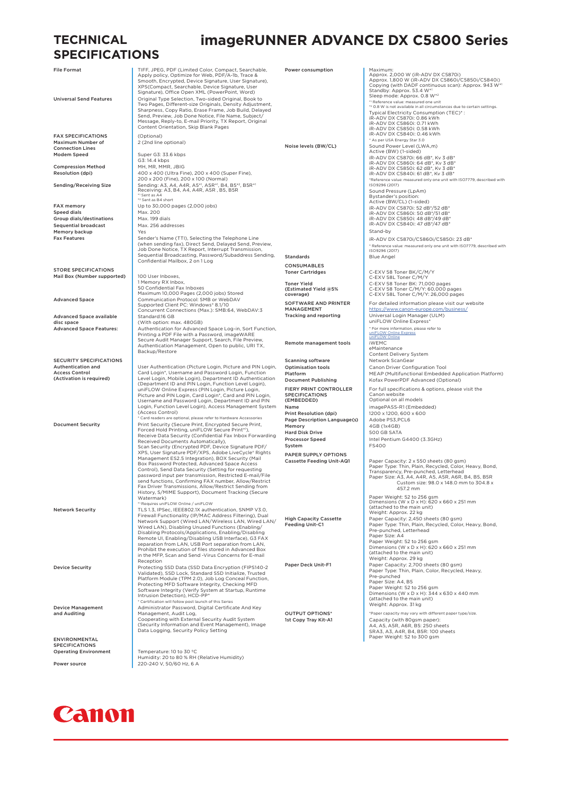#### **TECHNICAL SPECIFICATIONS**

FAX SPECIFICATIONS (Optional) Maximum Number of Connection Lines

Sequential broadcast Max. 256 added Max. 256 added Max. 256 added Max. 256 added Max. 256 added Max. 256 added M Memory backup<br>Fax Features

STORE SPECIFICATIONS Mail Box (Number supported) 100 User Inboxes

Advanced Space available disc space<br>Advanced Space Features

SECURITY SPECIFICATIONS Authentication and Access Control (Activation is required)

Device Management and Auditing

ENVIRONMENTAL SPECIFICATIONS Operating Environment Temperature: 10 to 30 °C<br>Humidity: 20 to 80 % RH (Relative Humidity)

Power source 220-240 V, 50/60 Hz, 6 A

### **imageRUNNER ADVANCE DX C5800 Series**

File Format<br>
File Format TIFF, JPEG, PDF (Limited Color, Compact, Searchable,<br>
Apply policy, Optimize for Web, PDF/A-1b, Trace &<br>
Smooth, Encrypted, Device Signature, User Signature),<br>
XPS(Compact, Searchable, Device Signa Sharpness, Copy Ratio, Erase Frame, Job Build, Delayed Send, Preview, Job Done Notice, File Name, Subject/ Message, Reply-to, E-mail Priority, TX Report, Original Content Orientation, Skip Blank Pages 2 (2nd line optional) Modem Speed Super G3: 33.6 kbps G3: 14.4 kbps **Compression Method** MH, MR, MMR, JBIG<br> **Resolution (dni)**  $400 \times 400$  (Liltra Fit Resolution (dpi)<br>
200 x 400 (Ultra Fine), 200 x 400 (Super Fine),<br>
200 x 100 (Normal)<br>
200 x 40, 447, 45\*, 45\*, 45\*, 48, 85\*, 48, 85\*, 48, 48\*<br>
Receiving Size<br>
Receiving A3, B4, 44, 44R, 45R, 85, 85R<br>
Receiving A3, 84, 44, ent as A<del>4</del><br><sup>2</sup> Sent as B4 short FAX memory<br>Speed dials<br>Speed dials<br>Max. 200 Speed dials<br>Group dials/destinations Max. 199 dials Group dials/destinations Max. 199 dials<br>
Sequential broadcast Max. 256 addresses Fax Features Sender's Name (TTI), Selecting the Telephone Line (when sending fax), Direct Send, Delayed Send, Preview, Job Done Notice, TX Report, Interrupt Transmission, Sequential Broadcasting, Password/Subaddress Sending, Confidential Mailbox, 2 on 1 Log Memory RX Inbox,<br>
50 Confidential Fax Inboxes<br>
Maximum 10,000 Pages (2,000 jobs) Stored<br>
Maximum 10,000 Pages (2,000 jobs) Stored<br>
Communication Protocol: SMB or WebDAV<br>
Supported Client PC: Windows<sup>8</sup> 8.1/10<br>
Concurrent C Standard:16 GB (With option: max. 480GB) Authentication for Advanced Space Log-in, Sort Function, Printing a PDF File with a Password, imageWARE Secure Audit Manager Support, Search, File Preview, Authentication Management, Open to public, URI TX, Backup/Restore User Authentication (Picture Login, Picture and PhN Login, Login, 2<br>Card Login, "Username and Password Login, Function<br>Level Login, Mobile Login), Department ID Authentication<br>(Department ID and PIN Login, Function Level L Document Security<br>
Print Security (Secure Print, Encrypted Secure Print,<br>
Forced Hold Printing, uniFLOW Secure Print<sup>+)</sup>,<br>
Receive Data Security (Confidential Fax Inbox Forwarding<br>
Receive Data Security (Confidential)),<br>
S Box Password Protected, Advanced Space Access<br>Control), Send Data Security (Setting for requesting<br>password input per transmission, Restricted E-mail/File<br>send functions, Confirming FAX number, Allow/Restrict<br>Fax Driver Tr Watermark)<br>\* Requires uniELOW Online / uniELOW "Requires uniFLOW Online / uniFLOW<br>TLS 1.3, IPSec, IEEEBO2.1X authentication, SNMP V3.0,<br>Tierwall Functionality (IP/MAC Address Filtering), Dual<br>Network Support (Wired LAN/Wireless LAN, Wired LAN/<br>Wired LAN, Disabling Prot Remote UI, Enabling/Disabling USB Interface), G3 FAX<br>separation from LAN, USB Port separation from LAN,<br>Prohibit the execution of files stored in Advanced Box<br>in the MFP, Scan and Send -Virus Concerns for E-mail<br>Reception Device Security<br>
Protecting SSD Data (SSD Data Encryption (FIPS140-2<br>
Validated), SSD Lock, Standard SSD Initialize, Trusted<br>
Platform Module (TPM 2.0), Job Log Conceal Function,<br>
Protecting MFD Software Integrity, Checkin \* Certification will follow post launch of this Serie Administrator Password, Digital Certificate And Key Management, Audit Log, Cooperating with External Security Audit System (Security Information and Event Management), Image Data Logging, Security Policy Setting Power consumption | Maximum Approx. 2,000 W (iR-ADV DX C5870i)<br>Approx. 2,000 W (iR-ADV DX C5860i/C5850i/C5840i)<br>Copying (with DADF continuous scan): Approx. 943 W\*<br>Sleep mode: Approx. 0.8 W\*<sup>2</sup> \*1 Reference value: measured one unit \*2 0.8 W is not available in all circumstances due to certain settings. Typical Electricity Consumption (TEC)\* : iR-ADV DX C5870i: 0.86 kWh iR-ADV DX C5860i: 0.71 kWh iR-ADV DX C5850i: 0.58 kWh iR-ADV DX C5840i: 0.46 kWh \* AS YOUR COLL . . . .<br>As per USA Energy Star 3.0 Noise levels (BW/CL) Sound Power Level (LWA,m) Active (BW) (1-sided) iR-ADV DX C5870i: 66 dB\*, Kv 3 dB\* iR-ADV DX C5860i: 64 dB\*, Kv 3 dB\* iR-ADV DX C5850i: 62 dB\*, Kv 3 dB\* iR-ADV DX C5840i: 61 dB\*, Kv 3 dB\* \*Reference value: measured only one unit with ISO7779, described with ISO9296 (2017) Sound Pressure (LpAm) Bystander's position: Active (BW/CL) (1-sided) iR-ADV DX C5870i: 52 dB\*/52 dB\* iR-ADV DX C5860i: 50 dB\*/51 dB\* iR-ADV DX C5850i: 48 dB\*/49 dB\* iR-ADV DX C5840i: 47 dB\*/47 dB\* Stand-by iR-ADV DX C5870i/C5860i/C5850i: 23 dB\* .<br>Ne unit with ISO7779, described with \* Reference value Blue Angel CONSUMABLES<br>Toner Cartridges Toner Cartridges<br>
Toner Yield<br>
C-EXV 58 Toner BK: 71,000 pages<br>
C-EXV 58 Toner BK: 71,000 pages<br>
C-EXV 58L Toner C/M/Y: 26,000 pages<br>
C-EXV 58L Toner C/M/Y: 26,000 pages<br>
C-EXV 58L Toner C/M/Y: 26,000 pages Toner Yield (Estimated Yield @5% coverage) SOFTWARE AND PRINTER MANAGEMENT<br>Tracking and reporting For detailed information please visit our website MANAGEMENT<br>
Tracking and reporting Universal Login Manager (ULM)<br>
Universal Universal Universal Universal Universal Universal Universal Universal Universal Universal Universal<br>
Universal Universal Universal Universal Unive \* For more information, please refer to [uniFLOW Online Express](https://canon.a.bigcontent.io/v1/static/uniflow_online_express_em_final_lr) [uniFLOW Online](https://canon.a.bigcontent.io/v1/static/636758927259250138SC-uniflow-online-en) Remote management tools iWEMC eMaintenance Content Delivery System Scanning software Metwork ScanGear<br>
Optimisation tools<br>
Canon Driver Confi Optimisation tools **Canon Driver Configuration Tool**<br>
MEAP (Multifunctional Embedded Application Platform) Document Publishing Kofax PowerPDF Advanced (Optional) FIERY PRINT CONTROLLER SPECIFICATIONS (EMBEDDED) For full specifications & options, please visit the Canon website Optional on all models \text{-x-axist}}<br>Name<br>Print Resolution (dpi) <br>1200 x 1200, 600 x 600 Princes Resolution (dpi) 1200 x 600<br>Adobe PS3 PCL6 Page Description Language(s) Memory 4GB (1x4GB) Hard Disk Drive 500 GB SATA<br>Processor Speed Intel Pentium Processor Speed Intel Pentium G4400 (3.3GHz) System FS400 PAPER SUPPLY OPTIONS<br>Cassette Feeding Unit-AQ1 Cassette Feeding Unit-AQ1 Paper Capacity: 2 x 550 sheets (80 gsm)<br>Paper Type: Thin, Plain, Recycled, Color, Heavy, Bond,<br>Transparency, Pre-punched, Letterhead<br>Paper Size: A3, A4, A4R, A5, A5R, A6R, B5, B5R<br>Custom size: 98. 457.2 mm Paper Weight: 52 to 256 gsm<br>Dimensions (W x D x H): 620 x 660 x 251 mm<br>(attached to the main unit)<br>Weight: Approx. 22 kg<br>Paper Capacity: 2,450 sheets (80 gsm)<br>Paper Type: Thin, Plain, Recycled, Color, Heavy, Bond,<br>Pre-punc High Capacity Cassette Feeding Unit-C1 Paper Size: A4 Paper Weight: 52 to 256 gsm Dimensions (W x D x H): 620 x 660 x 251 mm (attached to the main unit) Weight: Approx. 29 kg Paper Deck Unit-F1 Paper Capacity: 2,700 sheets (80 gsm)<br>Paper Type: Thin, Plain, Color, Recycled, Heavy Paper Type: Thin, Plain, Color, Recycled, Heavy, Pre-punched Paper Size: A4, B5 Paper Weight: 52 to 256 gsm Dimensions (W x D x H): 344 x 630 x 440 mm (attached to the main unit) Weight: Approx. 31 kg OUTPUT OPTIONS\* <sup>\*</sup>Paper capacity may vary with different paper type/size 1st Copy Tray Kit-A1 Capacity (with 80gsm paper): A4, A5, A5R, A6R, B5: 250 sheets SRA3, A3, A4R, B4, B5R: 100 sheets Paper Weight: 52 to 300 gsm